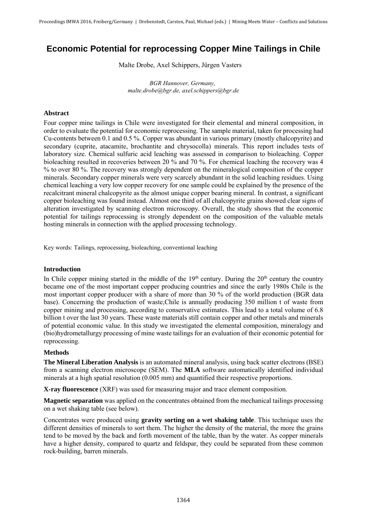# **Economic Potential for reprocessing Copper Mine Tailings in Chile**

Malte Drobe, Axel Schippers, Jürgen Vasters

*BGR Hannover, Germany, malte.drobe@bgr.de, axel.schippers@bgr.de* 

## **Abstract**

Four copper mine tailings in Chile were investigated for their elemental and mineral composition, in order to evaluate the potential for economic reprocessing. The sample material, taken for processing had Cu-contents between 0.1 and 0.5 %. Copper was abundant in various primary (mostly chalcopyrite) and secondary (cuprite, atacamite, brochantite and chrysocolla) minerals. This report includes tests of laboratory size. Chemical sulfuric acid leaching was assessed in comparison to bioleaching. Copper bioleaching resulted in recoveries between 20 % and 70 %. For chemical leaching the recovery was 4 % to over 80 %. The recovery was strongly dependent on the mineralogical composition of the copper minerals. Secondary copper minerals were very scarcely abundant in the solid leaching residues. Using chemical leaching a very low copper recovery for one sample could be explained by the presence of the recalcitrant mineral chalcopyrite as the almost unique copper bearing mineral. In contrast, a significant copper bioleaching was found instead. Almost one third of all chalcopyrite grains showed clear signs of alteration investigated by scanning electron microscopy. Overall, the study shows that the economic potential for tailings reprocessing is strongly dependent on the composition of the valuable metals hosting minerals in connection with the applied processing technology.

Key words: Tailings, reprocessing, bioleaching, conventional leaching

### **Introduction**

In Chile copper mining started in the middle of the  $19<sup>th</sup>$  century. During the  $20<sup>th</sup>$  century the country became one of the most important copper producing countries and since the early 1980s Chile is the most important copper producer with a share of more than 30 % of the world production (BGR data base). Concerning the production of waste,Chile is annually producing 350 million t of waste from copper mining and processing, according to conservative estimates. This lead to a total volume of 6.8 billion t over the last 30 years. These waste materials still contain copper and other metals and minerals of potential economic value. In this study we investigated the elemental composition, mineralogy and (bio)hydrometallurgy processing of mine waste tailings for an evaluation of their economic potential for reprocessing.

#### **Methods**

**The Mineral Liberation Analysis** is an automated mineral analysis, using back scatter electrons (BSE) from a scanning electron microscope (SEM). The **MLA** software automatically identified individual minerals at a high spatial resolution (0.005 mm) and quantified their respective proportions.

**X-ray fluorescence** (XRF) was used for measuring major and trace element composition.

**Magnetic separation** was applied on the concentrates obtained from the mechanical tailings processing on a wet shaking table (see below).

Concentrates were produced using **gravity sorting on a wet shaking table**. This technique uses the different densities of minerals to sort them. The higher the density of the material, the more the grains tend to be moved by the back and forth movement of the table, than by the water. As copper minerals have a higher density, compared to quartz and feldspar, they could be separated from these common rock-building, barren minerals.